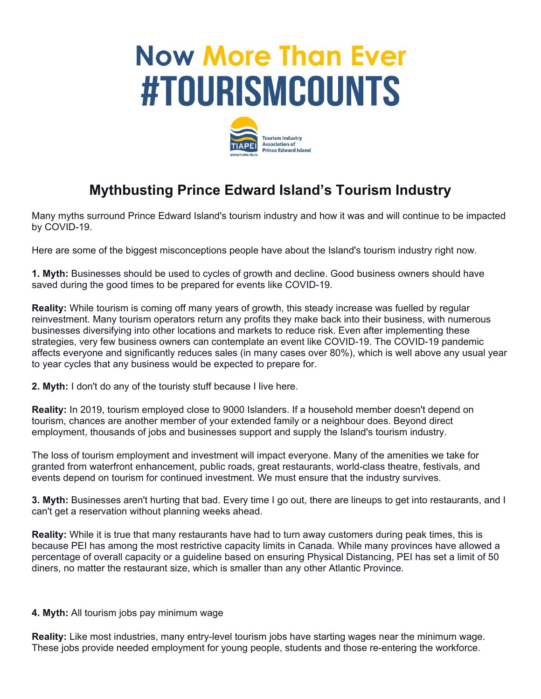## **Now More Than Ever #TOURISMCOUNTS**



## **Mythbusting Prince Edward Island's Tourism Industry**

Many myths surround Prince Edward Island's tourism industry and how it was and will continue to be impacted by COVID-19.

Here are some of the biggest misconceptions people have about the Island's tourism industry right now.

**1. Myth:** Businesses should be used to cycles of growth and decline. Good business owners should have saved during the good times to be prepared for events like COVID-19.

**Reality:** While tourism is coming off many years of growth, this steady increase was fuelled by regular reinvestment. Many tourism operators return any profits they make back into their business, with numerous businesses diversifying into other locations and markets to reduce risk. Even after implementing these strategies, very few business owners can contemplate an event like COVID-19. The COVID-19 pandemic affects everyone and significantly reduces sales (in many cases over 80%), which is well above any usual year to year cycles that any business would be expected to prepare for.

**2. Myth:** I don't do any of the touristy stuff because I live here.

**Reality:** In 2019, tourism employed close to 9000 Islanders. If a household member doesn't depend on tourism, chances are another member of your extended family or a neighbour does. Beyond direct employment, thousands of jobs and businesses support and supply the Island's tourism industry.

The loss of tourism employment and investment will impact everyone. Many of the amenities we take for granted from waterfront enhancement, public roads, great restaurants, world-class theatre, festivals, and events depend on tourism for continued investment. We must ensure that the industry survives.

**3. Myth:** Businesses aren't hurting that bad. Every time I go out, there are lineups to get into restaurants, and I can't get a reservation without planning weeks ahead.

**Reality:** While it is true that many restaurants have had to turn away customers during peak times, this is because PEI has among the most restrictive capacity limits in Canada. While many provinces have allowed a percentage of overall capacity or a guideline based on ensuring Physical Distancing, PEI has set a limit of 50 diners, no matter the restaurant size, which is smaller than any other Atlantic Province.

## **4. Myth:** All tourism jobs pay minimum wage

**Reality:** Like most industries, many entry-level tourism jobs have starting wages near the minimum wage. These jobs provide needed employment for young people, students and those re-entering the workforce.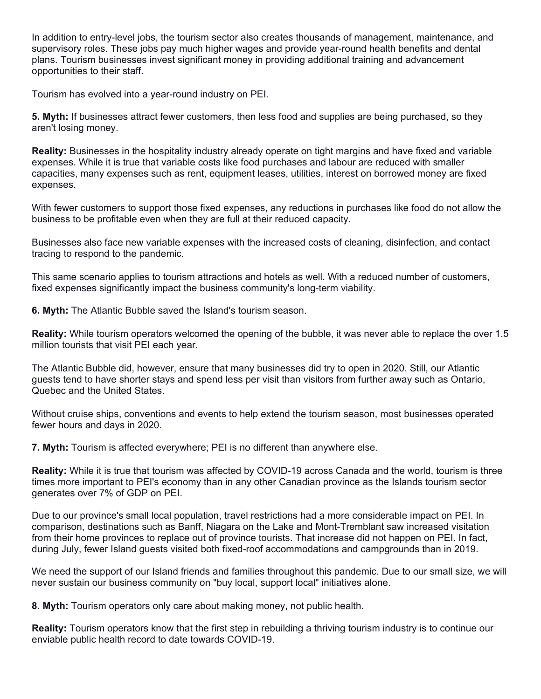In addition to entry-level jobs, the tourism sector also creates thousands of management, maintenance, and supervisory roles. These jobs pay much higher wages and provide year-round health benefits and dental plans. Tourism businesses invest significant money in providing additional training and advancement opportunities to their staff.

Tourism has evolved into a year-round industry on PEI.

**5. Myth:** If businesses attract fewer customers, then less food and supplies are being purchased, so they aren't losing money.

**Reality:** Businesses in the hospitality industry already operate on tight margins and have fixed and variable expenses. While it is true that variable costs like food purchases and labour are reduced with smaller capacities, many expenses such as rent, equipment leases, utilities, interest on borrowed money are fixed expenses.

With fewer customers to support those fixed expenses, any reductions in purchases like food do not allow the business to be profitable even when they are full at their reduced capacity.

Businesses also face new variable expenses with the increased costs of cleaning, disinfection, and contact tracing to respond to the pandemic.

This same scenario applies to tourism attractions and hotels as well. With a reduced number of customers, fixed expenses significantly impact the business community's long-term viability.

**6. Myth:** The Atlantic Bubble saved the Island's tourism season.

**Reality:** While tourism operators welcomed the opening of the bubble, it was never able to replace the over 1.5 million tourists that visit PEI each year.

The Atlantic Bubble did, however, ensure that many businesses did try to open in 2020. Still, our Atlantic guests tend to have shorter stays and spend less per visit than visitors from further away such as Ontario, Quebec and the United States.

Without cruise ships, conventions and events to help extend the tourism season, most businesses operated fewer hours and days in 2020.

**7. Myth:** Tourism is affected everywhere; PEI is no different than anywhere else.

**Reality:** While it is true that tourism was affected by COVID-19 across Canada and the world, tourism is three times more important to PEI's economy than in any other Canadian province as the Islands tourism sector generates over 7% of GDP on PEI.

Due to our province's small local population, travel restrictions had a more considerable impact on PEI. In comparison, destinations such as Banff, Niagara on the Lake and Mont-Tremblant saw increased visitation from their home provinces to replace out of province tourists. That increase did not happen on PEI. In fact, during July, fewer Island guests visited both fixed-roof accommodations and campgrounds than in 2019.

We need the support of our Island friends and families throughout this pandemic. Due to our small size, we will never sustain our business community on "buy local, support local" initiatives alone.

**8. Myth:** Tourism operators only care about making money, not public health.

**Reality:** Tourism operators know that the first step in rebuilding a thriving tourism industry is to continue our enviable public health record to date towards COVID-19.